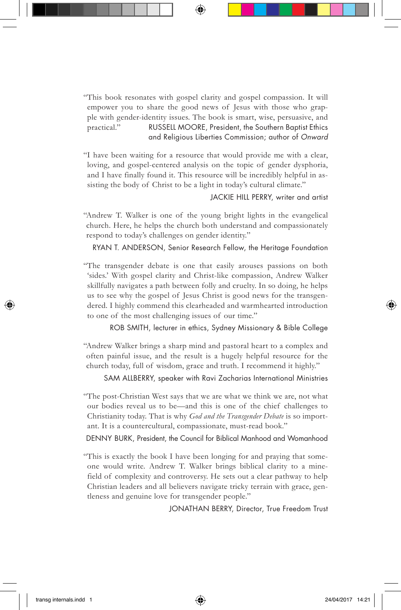- "This book resonates with gospel clarity and gospel compassion. It will empower you to share the good news of Jesus with those who grapple with gender-identity issues. The book is smart, wise, persuasive, and practical." RUSSELL MOORE, President, the Southern Baptist Ethics and Religious Liberties Commission; author of *Onward*
- "I have been waiting for a resource that would provide me with a clear, loving, and gospel-centered analysis on the topic of gender dysphoria, and I have finally found it. This resource will be incredibly helpful in assisting the body of Christ to be a light in today's cultural climate."

JACKIE HILL PERRY, writer and artist

"Andrew T. Walker is one of the young bright lights in the evangelical church. Here, he helps the church both understand and compassionately respond to today's challenges on gender identity."

RYAN T. ANDERSON, Senior Research Fellow, the Heritage Foundation

"The transgender debate is one that easily arouses passions on both 'sides.' With gospel clarity and Christ-like compassion, Andrew Walker skillfully navigates a path between folly and cruelty. In so doing, he helps us to see why the gospel of Jesus Christ is good news for the transgendered. I highly commend this clearheaded and warmhearted introduction to one of the most challenging issues of our time."

ROB SMITH, lecturer in ethics, Sydney Missionary & Bible College

"Andrew Walker brings a sharp mind and pastoral heart to a complex and often painful issue, and the result is a hugely helpful resource for the church today, full of wisdom, grace and truth. I recommend it highly."

#### SAM ALLBERRY, speaker with Ravi Zacharias International Ministries

"The post-Christian West says that we are what we think we are, not what our bodies reveal us to be—and this is one of the chief challenges to Christianity today. That is why *God and the Transgender Debate* is so important. It is a countercultural, compassionate, must-read book."

DENNY BURK, President, the Council for Biblical Manhood and Womanhood

"This is exactly the book I have been longing for and praying that someone would write. Andrew T. Walker brings biblical clarity to a minefield of complexity and controversy. He sets out a clear pathway to help Christian leaders and all believers navigate tricky terrain with grace, gentleness and genuine love for transgender people."

JONATHAN BERRY, Director, True Freedom Trust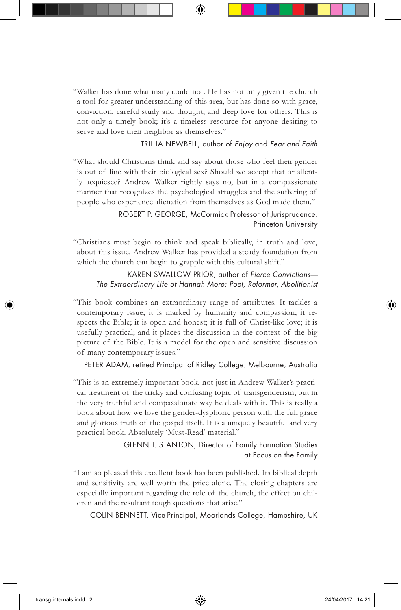"Walker has done what many could not. He has not only given the church a tool for greater understanding of this area, but has done so with grace, conviction, careful study and thought, and deep love for others. This is not only a timely book; it's a timeless resource for anyone desiring to serve and love their neighbor as themselves."

#### TRILLIA NEWBELL, author of *Enjoy* and *Fear and Faith*

"What should Christians think and say about those who feel their gender is out of line with their biological sex? Should we accept that or silently acquiesce? Andrew Walker rightly says no, but in a compassionate manner that recognizes the psychological struggles and the suffering of people who experience alienation from themselves as God made them."

#### ROBERT P. GEORGE, McCormick Professor of Jurisprudence, Princeton University

"Christians must begin to think and speak biblically, in truth and love, about this issue. Andrew Walker has provided a steady foundation from which the church can begin to grapple with this cultural shift."

#### KAREN SWALLOW PRIOR, author of *Fierce Convictions— The Extraordinary Life of Hannah More: Poet, Reformer, Abolitionist*

"This book combines an extraordinary range of attributes. It tackles a contemporary issue; it is marked by humanity and compassion; it respects the Bible; it is open and honest; it is full of Christ-like love; it is usefully practical; and it places the discussion in the context of the big picture of the Bible. It is a model for the open and sensitive discussion of many contemporary issues."

PETER ADAM, retired Principal of Ridley College, Melbourne, Australia

"This is an extremely important book, not just in Andrew Walker's practical treatment of the tricky and confusing topic of transgenderism, but in the very truthful and compassionate way he deals with it. This is really a book about how we love the gender-dysphoric person with the full grace and glorious truth of the gospel itself. It is a uniquely beautiful and very practical book. Absolutely 'Must-Read' material."

#### GLENN T. STANTON, Director of Family Formation Studies at Focus on the Family

"I am so pleased this excellent book has been published. Its biblical depth and sensitivity are well worth the price alone. The closing chapters are especially important regarding the role of the church, the effect on children and the resultant tough questions that arise."

COLIN BENNETT, Vice-Principal, Moorlands College, Hampshire, UK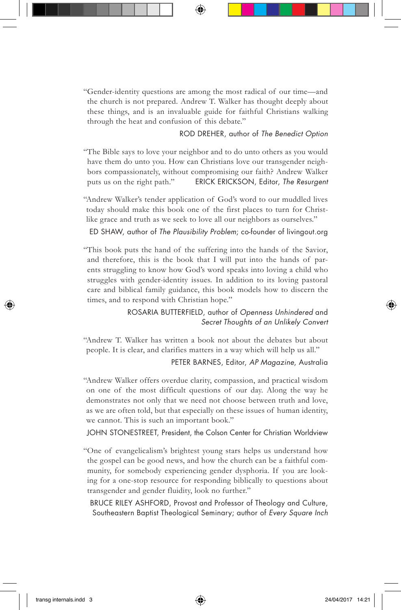"Gender-identity questions are among the most radical of our time—and the church is not prepared. Andrew T. Walker has thought deeply about these things, and is an invaluable guide for faithful Christians walking through the heat and confusion of this debate."

#### ROD DREHER, author of *The Benedict Option*

- "The Bible says to love your neighbor and to do unto others as you would have them do unto you. How can Christians love our transgender neighbors compassionately, without compromising our faith? Andrew Walker puts us on the right path." ERICK ERICKSON, Editor, *The Resurgent*
- "Andrew Walker's tender application of God's word to our muddled lives today should make this book one of the first places to turn for Christlike grace and truth as we seek to love all our neighbors as ourselves."

ED SHAW, author of *The Plausibility Problem*; co-founder of livingout.org

"This book puts the hand of the suffering into the hands of the Savior, and therefore, this is the book that I will put into the hands of parents struggling to know how God's word speaks into loving a child who struggles with gender-identity issues. In addition to its loving pastoral care and biblical family guidance, this book models how to discern the times, and to respond with Christian hope."

#### ROSARIA BUTTERFIELD, author of *Openness Unhindered* and *Secret Thoughts of an Unlikely Convert*

"Andrew T. Walker has written a book not about the debates but about people. It is clear, and clarifies matters in a way which will help us all."

#### PETER BARNES, Editor, *AP Magazine*, Australia

"Andrew Walker offers overdue clarity, compassion, and practical wisdom on one of the most difficult questions of our day. Along the way he demonstrates not only that we need not choose between truth and love, as we are often told, but that especially on these issues of human identity, we cannot. This is such an important book."

#### JOHN STONESTREET, President, the Colson Center for Christian Worldview

- "One of evangelicalism's brightest young stars helps us understand how the gospel can be good news, and how the church can be a faithful community, for somebody experiencing gender dysphoria. If you are looking for a one-stop resource for responding biblically to questions about transgender and gender fluidity, look no further."
	- BRUCE RILEY ASHFORD, Provost and Professor of Theology and Culture, Southeastern Baptist Theological Seminary; author of *Every Square Inch*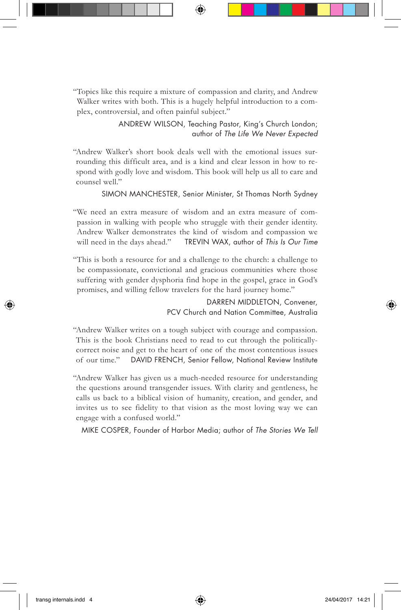"Topics like this require a mixture of compassion and clarity, and Andrew Walker writes with both. This is a hugely helpful introduction to a complex, controversial, and often painful subject."

#### ANDREW WILSON, Teaching Pastor, King's Church London; author of *The Life We Never Expected*

"Andrew Walker's short book deals well with the emotional issues surrounding this difficult area, and is a kind and clear lesson in how to respond with godly love and wisdom. This book will help us all to care and counsel well."

#### SIMON MANCHESTER, Senior Minister, St Thomas North Sydney

"We need an extra measure of wisdom and an extra measure of compassion in walking with people who struggle with their gender identity. Andrew Walker demonstrates the kind of wisdom and compassion we will need in the days ahead." TREVIN WAX, author of *This Is Our Time*

"This is both a resource for and a challenge to the church: a challenge to be compassionate, convictional and gracious communities where those suffering with gender dysphoria find hope in the gospel, grace in God's promises, and willing fellow travelers for the hard journey home."

> DARREN MIDDLETON, Convener, PCV Church and Nation Committee, Australia

"Andrew Walker writes on a tough subject with courage and compassion. This is the book Christians need to read to cut through the politicallycorrect noise and get to the heart of one of the most contentious issues of our time." DAVID FRENCH, Senior Fellow, National Review Institute

"Andrew Walker has given us a much-needed resource for understanding the questions around transgender issues. With clarity and gentleness, he calls us back to a biblical vision of humanity, creation, and gender, and invites us to see fidelity to that vision as the most loving way we can engage with a confused world."

MIKE COSPER, Founder of Harbor Media; author of *The Stories We Tell*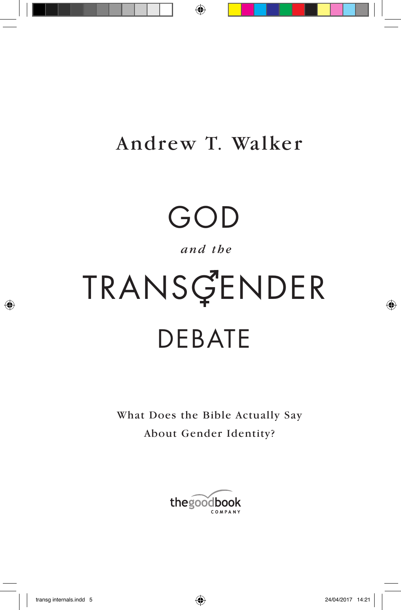### Andrew T. Walker



*and the*

# DEBATE TRANSGENDER

What Does the Bible Actually Say About Gender Identity?

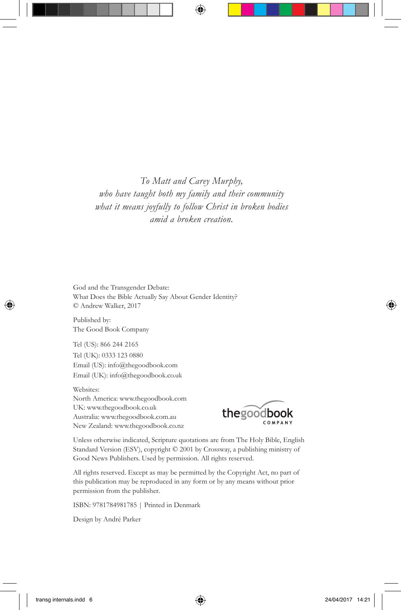*To Matt and Carey Murphy, who have taught both my family and their community what it means joyfully to follow Christ in broken bodies amid a broken creation.*

God and the Transgender Debate: What Does the Bible Actually Say About Gender Identity? © Andrew Walker, 2017

Published by: The Good Book Company

Tel (US): 866 244 2165 Tel (UK): 0333 123 0880 Email (US): info@thegoodbook.com Email (UK): info@thegoodbook.co.uk

Websites: North America: www.thegoodbook.com UK: www.thegoodbook.co.uk Australia: www.thegoodbook.com.au New Zealand: www.thegoodbook.co.nz



Unless otherwise indicated, Scripture quotations are from The Holy Bible, English Standard Version (ESV), copyright © 2001 by Crossway, a publishing ministry of Good News Publishers. Used by permission. All rights reserved.

All rights reserved. Except as may be permitted by the Copyright Act, no part of this publication may be reproduced in any form or by any means without prior permission from the publisher.

ISBN: 9781784981785 | Printed in Denmark

Design by André Parker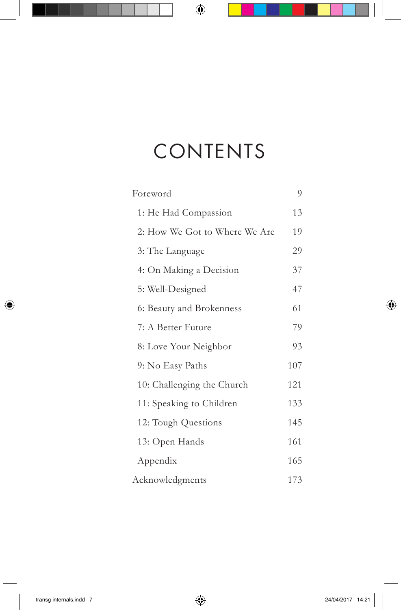# CONTENTS

| Foreword                      | 9   |
|-------------------------------|-----|
| 1: He Had Compassion          | 13  |
| 2: How We Got to Where We Are | 19  |
| 3: The Language               | 29  |
| 4: On Making a Decision       | 37  |
| 5: Well-Designed              | 47  |
| 6: Beauty and Brokenness      | 61  |
| 7: A Better Future            | 79  |
| 8: Love Your Neighbor         | 93  |
| 9: No Easy Paths              | 107 |
| 10: Challenging the Church    | 121 |
| 11: Speaking to Children      | 133 |
| 12: Tough Questions           | 145 |
| 13: Open Hands                | 161 |
| Appendix                      | 165 |
| Acknowledgments               | 173 |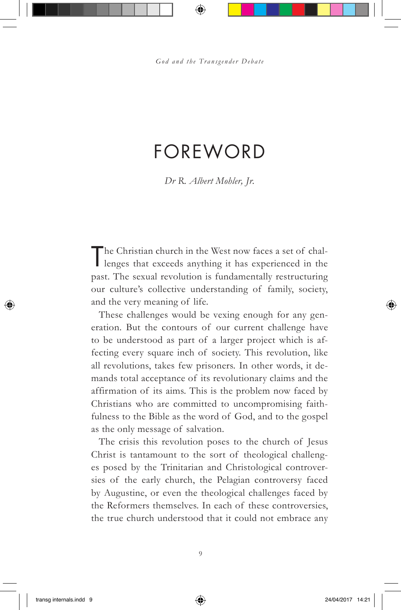### FOREWORD

*Dr R. Albert Mohler, Jr.*

The Christian church in the West now faces a set of challenges that exceeds anything it has experienced in the past. The sexual revolution is fundamentally restructuring our culture's collective understanding of family, society, and the very meaning of life.

These challenges would be vexing enough for any generation. But the contours of our current challenge have to be understood as part of a larger project which is affecting every square inch of society. This revolution, like all revolutions, takes few prisoners. In other words, it demands total acceptance of its revolutionary claims and the affirmation of its aims. This is the problem now faced by Christians who are committed to uncompromising faithfulness to the Bible as the word of God, and to the gospel as the only message of salvation.

The crisis this revolution poses to the church of Jesus Christ is tantamount to the sort of theological challenges posed by the Trinitarian and Christological controversies of the early church, the Pelagian controversy faced by Augustine, or even the theological challenges faced by the Reformers themselves. In each of these controversies, the true church understood that it could not embrace any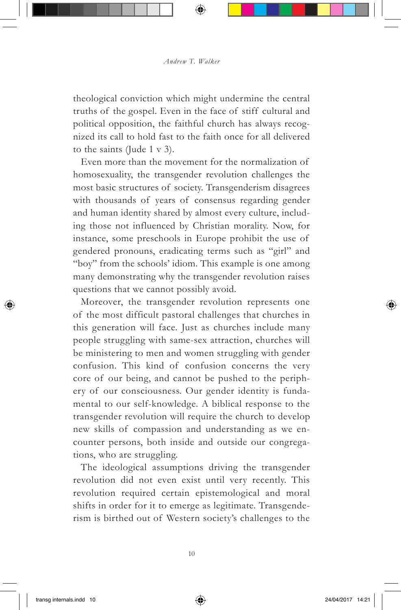theological conviction which might undermine the central truths of the gospel. Even in the face of stiff cultural and political opposition, the faithful church has always recognized its call to hold fast to the faith once for all delivered to the saints (Jude 1 v 3).

Even more than the movement for the normalization of homosexuality, the transgender revolution challenges the most basic structures of society. Transgenderism disagrees with thousands of years of consensus regarding gender and human identity shared by almost every culture, including those not influenced by Christian morality. Now, for instance, some preschools in Europe prohibit the use of gendered pronouns, eradicating terms such as "girl" and "boy" from the schools' idiom. This example is one among many demonstrating why the transgender revolution raises questions that we cannot possibly avoid.

Moreover, the transgender revolution represents one of the most difficult pastoral challenges that churches in this generation will face. Just as churches include many people struggling with same-sex attraction, churches will be ministering to men and women struggling with gender confusion. This kind of confusion concerns the very core of our being, and cannot be pushed to the periphery of our consciousness. Our gender identity is fundamental to our self-knowledge. A biblical response to the transgender revolution will require the church to develop new skills of compassion and understanding as we encounter persons, both inside and outside our congregations, who are struggling.

The ideological assumptions driving the transgender revolution did not even exist until very recently. This revolution required certain epistemological and moral shifts in order for it to emerge as legitimate. Transgenderism is birthed out of Western society's challenges to the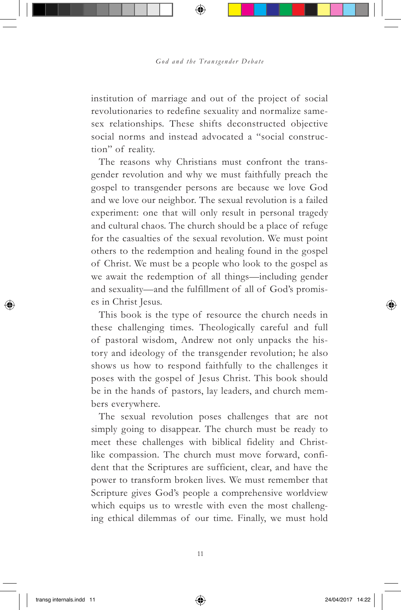institution of marriage and out of the project of social revolutionaries to redefine sexuality and normalize samesex relationships. These shifts deconstructed objective social norms and instead advocated a "social construction" of reality.

The reasons why Christians must confront the transgender revolution and why we must faithfully preach the gospel to transgender persons are because we love God and we love our neighbor. The sexual revolution is a failed experiment: one that will only result in personal tragedy and cultural chaos. The church should be a place of refuge for the casualties of the sexual revolution. We must point others to the redemption and healing found in the gospel of Christ. We must be a people who look to the gospel as we await the redemption of all things—including gender and sexuality—and the fulfillment of all of God's promises in Christ Jesus.

This book is the type of resource the church needs in these challenging times. Theologically careful and full of pastoral wisdom, Andrew not only unpacks the history and ideology of the transgender revolution; he also shows us how to respond faithfully to the challenges it poses with the gospel of Jesus Christ. This book should be in the hands of pastors, lay leaders, and church members everywhere.

The sexual revolution poses challenges that are not simply going to disappear. The church must be ready to meet these challenges with biblical fidelity and Christlike compassion. The church must move forward, confident that the Scriptures are sufficient, clear, and have the power to transform broken lives. We must remember that Scripture gives God's people a comprehensive worldview which equips us to wrestle with even the most challenging ethical dilemmas of our time. Finally, we must hold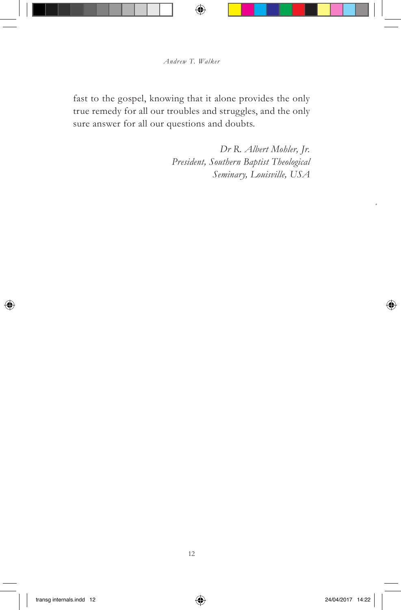fast to the gospel, knowing that it alone provides the only true remedy for all our troubles and struggles, and the only sure answer for all our questions and doubts.

> *Dr R. Albert Mohler, Jr. President, Southern Baptist Theological Seminary, Louisville, USA*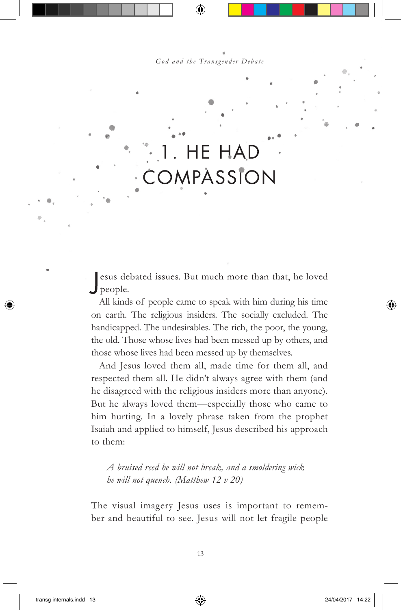*God and the Transgender Debate*

## 1E HAD **MPASSION**

J esus debated issues. But much more than that, he loved people.

All kinds of people came to speak with him during his time on earth. The religious insiders. The socially excluded. The handicapped. The undesirables. The rich, the poor, the young, the old. Those whose lives had been messed up by others, and those whose lives had been messed up by themselves.

And Jesus loved them all, made time for them all, and respected them all. He didn't always agree with them (and he disagreed with the religious insiders more than anyone). But he always loved them—especially those who came to him hurting. In a lovely phrase taken from the prophet Isaiah and applied to himself, Jesus described his approach to them:

*A bruised reed he will not break, and a smoldering wick he will not quench. (Matthew 12 v 20)*

The visual imagery Jesus uses is important to remember and beautiful to see. Jesus will not let fragile people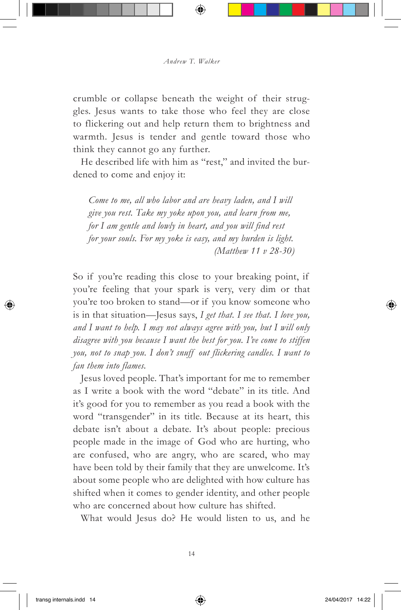crumble or collapse beneath the weight of their struggles. Jesus wants to take those who feel they are close to flickering out and help return them to brightness and warmth. Jesus is tender and gentle toward those who think they cannot go any further.

He described life with him as "rest," and invited the burdened to come and enjoy it:

*Come to me, all who labor and are heavy laden, and I will give you rest. Take my yoke upon you, and learn from me, for I am gentle and lowly in heart, and you will find rest for your souls. For my yoke is easy, and my burden is light. (Matthew 11 v 28-30)*

So if you're reading this close to your breaking point, if you're feeling that your spark is very, very dim or that you're too broken to stand—or if you know someone who is in that situation—Jesus says, *I get that. I see that. I love you, and I want to help. I may not always agree with you, but I will only disagree with you because I want the best for you. I've come to stiffen you, not to snap you. I don't snuff out flickering candles. I want to fan them into flames.*

Jesus loved people. That's important for me to remember as I write a book with the word "debate" in its title. And it's good for you to remember as you read a book with the word "transgender" in its title. Because at its heart, this debate isn't about a debate. It's about people: precious people made in the image of God who are hurting, who are confused, who are angry, who are scared, who may have been told by their family that they are unwelcome. It's about some people who are delighted with how culture has shifted when it comes to gender identity, and other people who are concerned about how culture has shifted.

What would Jesus do? He would listen to us, and he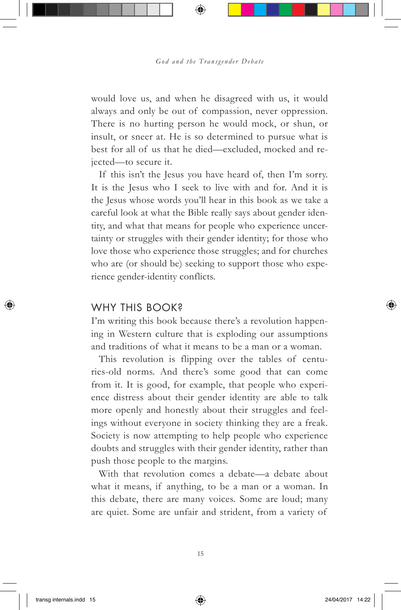would love us, and when he disagreed with us, it would always and only be out of compassion, never oppression. There is no hurting person he would mock, or shun, or insult, or sneer at. He is so determined to pursue what is best for all of us that he died—excluded, mocked and rejected—to secure it.

If this isn't the Jesus you have heard of, then I'm sorry. It is the Jesus who I seek to live with and for. And it is the Jesus whose words you'll hear in this book as we take a careful look at what the Bible really says about gender identity, and what that means for people who experience uncertainty or struggles with their gender identity; for those who love those who experience those struggles; and for churches who are (or should be) seeking to support those who experience gender-identity conflicts.

#### WHY THIS BOOK?

I'm writing this book because there's a revolution happening in Western culture that is exploding our assumptions and traditions of what it means to be a man or a woman.

This revolution is flipping over the tables of centuries-old norms. And there's some good that can come from it. It is good, for example, that people who experience distress about their gender identity are able to talk more openly and honestly about their struggles and feelings without everyone in society thinking they are a freak. Society is now attempting to help people who experience doubts and struggles with their gender identity, rather than push those people to the margins.

With that revolution comes a debate—a debate about what it means, if anything, to be a man or a woman. In this debate, there are many voices. Some are loud; many are quiet. Some are unfair and strident, from a variety of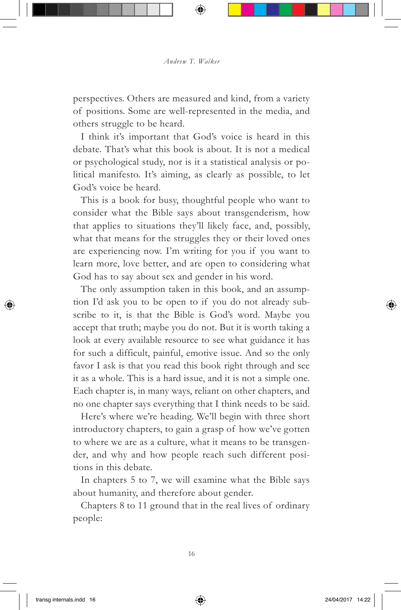perspectives. Others are measured and kind, from a variety of positions. Some are well-represented in the media, and others struggle to be heard.

I think it's important that God's voice is heard in this debate. That's what this book is about. It is not a medical or psychological study, nor is it a statistical analysis or political manifesto. It's aiming, as clearly as possible, to let God's voice be heard.

This is a book for busy, thoughtful people who want to consider what the Bible says about transgenderism, how that applies to situations they'll likely face, and, possibly, what that means for the struggles they or their loved ones are experiencing now. I'm writing for you if you want to learn more, love better, and are open to considering what God has to say about sex and gender in his word.

The only assumption taken in this book, and an assumption I'd ask you to be open to if you do not already subscribe to it, is that the Bible is God's word. Maybe you accept that truth; maybe you do not. But it is worth taking a look at every available resource to see what guidance it has for such a difficult, painful, emotive issue. And so the only favor I ask is that you read this book right through and see it as a whole. This is a hard issue, and it is not a simple one. Each chapter is, in many ways, reliant on other chapters, and no one chapter says everything that I think needs to be said.

Here's where we're heading. We'll begin with three short introductory chapters, to gain a grasp of how we've gotten to where we are as a culture, what it means to be transgender, and why and how people reach such different positions in this debate.

In chapters 5 to 7, we will examine what the Bible says about humanity, and therefore about gender.

Chapters 8 to 11 ground that in the real lives of ordinary people: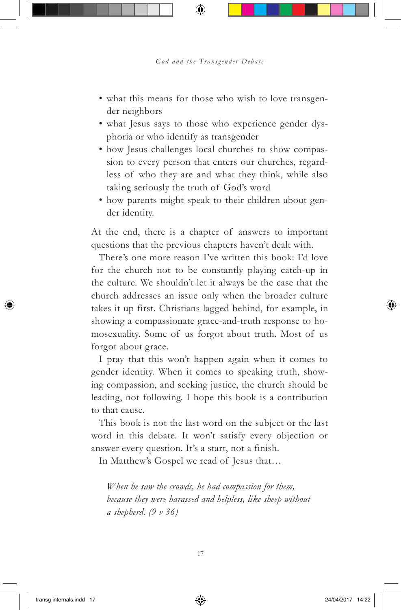- what this means for those who wish to love transgender neighbors
- what Jesus says to those who experience gender dysphoria or who identify as transgender
- how Jesus challenges local churches to show compassion to every person that enters our churches, regardless of who they are and what they think, while also taking seriously the truth of God's word
- how parents might speak to their children about gender identity.

At the end, there is a chapter of answers to important questions that the previous chapters haven't dealt with.

There's one more reason I've written this book: I'd love for the church not to be constantly playing catch-up in the culture. We shouldn't let it always be the case that the church addresses an issue only when the broader culture takes it up first. Christians lagged behind, for example, in showing a compassionate grace-and-truth response to homosexuality. Some of us forgot about truth. Most of us forgot about grace.

I pray that this won't happen again when it comes to gender identity. When it comes to speaking truth, showing compassion, and seeking justice, the church should be leading, not following. I hope this book is a contribution to that cause.

This book is not the last word on the subject or the last word in this debate. It won't satisfy every objection or answer every question. It's a start, not a finish.

In Matthew's Gospel we read of Jesus that…

*When he saw the crowds, he had compassion for them, because they were harassed and helpless, like sheep without a shepherd. (9 v 36)*